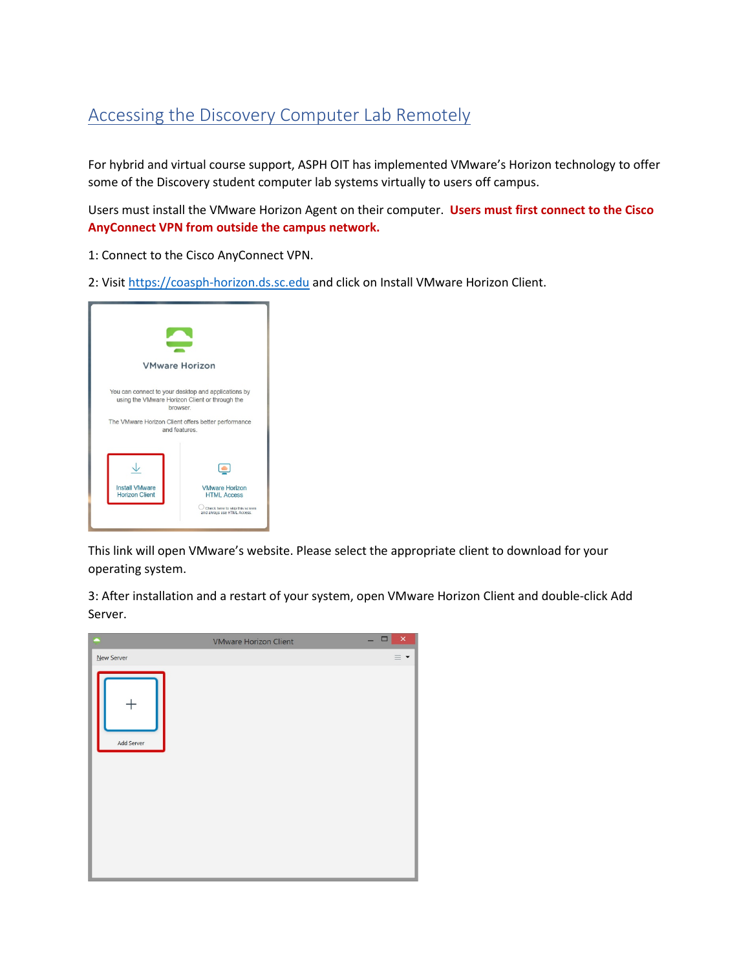## Accessing the Discovery Computer Lab Remotely

For hybrid and virtual course support, ASPH OIT has implemented VMware's Horizon technology to offer some of the Discovery student computer lab systems virtually to users off campus.

Users must install the VMware Horizon Agent on their computer. **Users must first connect to the Cisco AnyConnect VPN from outside the campus network.**

- 1: Connect to the Cisco AnyConnect VPN.
- 2: Visit [https://coasph-horizon.ds.sc.edu](https://coasph-horizon.ds.sc.edu/) and click on Install VMware Horizon Client.



This link will open VMware's website. Please select the appropriate client to download for your operating system.

3: After installation and a restart of your system, open VMware Horizon Client and double-click Add Server.

|            | <b>VMware Horizon Client</b> | $\Box$ | $\boldsymbol{\times}$ |
|------------|------------------------------|--------|-----------------------|
| New Server |                              |        | $\equiv$ $\star$      |
| Add Server |                              |        |                       |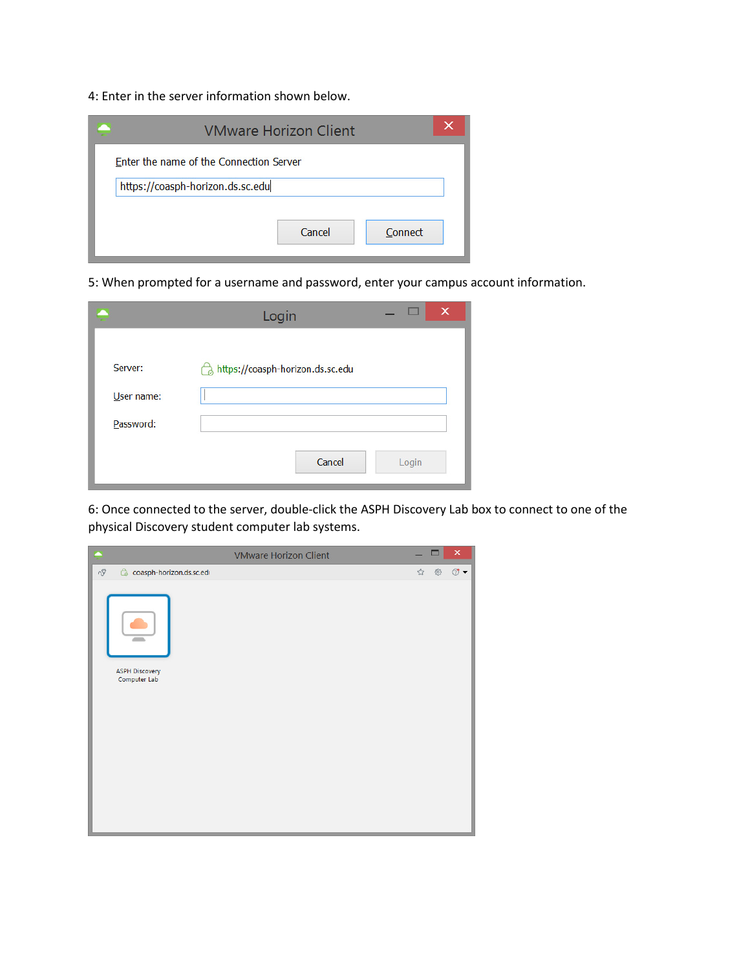4: Enter in the server information shown below.

| <b>VMware Horizon Client</b>            | × |  |  |  |
|-----------------------------------------|---|--|--|--|
| Enter the name of the Connection Server |   |  |  |  |
| https://coasph-horizon.ds.sc.edu        |   |  |  |  |
|                                         |   |  |  |  |
| Cancel<br>Connect                       |   |  |  |  |

5: When prompted for a username and password, enter your campus account information.

|            | Login                            | $\times$ |
|------------|----------------------------------|----------|
| Server:    | https://coasph-horizon.ds.sc.edu |          |
| User name: |                                  |          |
| Password:  |                                  |          |
|            | Cancel                           | Login    |

6: Once connected to the server, double-click the ASPH Discovery Lab box to connect to one of the physical Discovery student computer lab systems.